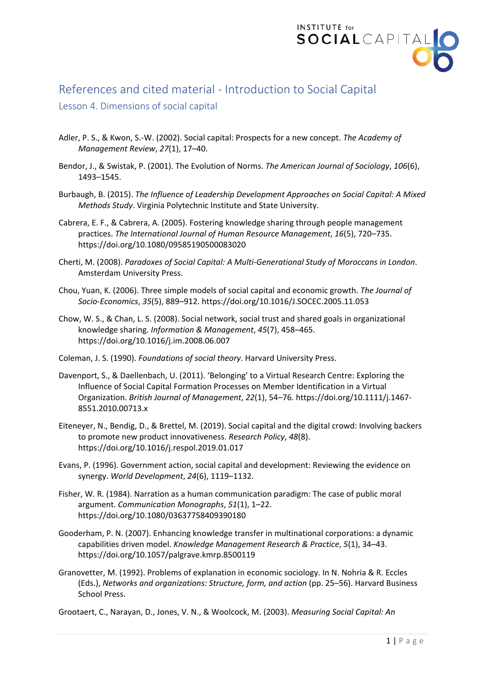

## References and cited material - Introduction to Social Capital

## Lesson 4. Dimensions of social capital

- Adler, P. S., & Kwon, S.-W. (2002). Social capital: Prospects for a new concept. *The Academy of Management Review*, *27*(1), 17–40.
- Bendor, J., & Swistak, P. (2001). The Evolution of Norms. *The American Journal of Sociology*, *106*(6), 1493–1545.
- Burbaugh, B. (2015). *The Influence of Leadership Development Approaches on Social Capital: A Mixed Methods Study*. Virginia Polytechnic Institute and State University.
- Cabrera, E. F., & Cabrera, A. (2005). Fostering knowledge sharing through people management practices. *The International Journal of Human Resource Management*, *16*(5), 720–735. https://doi.org/10.1080/09585190500083020
- Cherti, M. (2008). *Paradoxes of Social Capital: A Multi-Generational Study of Moroccans in London*. Amsterdam University Press.
- Chou, Yuan, K. (2006). Three simple models of social capital and economic growth. *The Journal of Socio-Economics*, *35*(5), 889–912. https://doi.org/10.1016/J.SOCEC.2005.11.053
- Chow, W. S., & Chan, L. S. (2008). Social network, social trust and shared goals in organizational knowledge sharing. *Information & Management*, *45*(7), 458–465. https://doi.org/10.1016/j.im.2008.06.007
- Coleman, J. S. (1990). *Foundations of social theory*. Harvard University Press.
- Davenport, S., & Daellenbach, U. (2011). 'Belonging' to a Virtual Research Centre: Exploring the Influence of Social Capital Formation Processes on Member Identification in a Virtual Organization. *British Journal of Management*, *22*(1), 54–76. https://doi.org/10.1111/j.1467- 8551.2010.00713.x
- Eiteneyer, N., Bendig, D., & Brettel, M. (2019). Social capital and the digital crowd: Involving backers to promote new product innovativeness. *Research Policy*, *48*(8). https://doi.org/10.1016/j.respol.2019.01.017
- Evans, P. (1996). Government action, social capital and development: Reviewing the evidence on synergy. *World Development*, *24*(6), 1119–1132.
- Fisher, W. R. (1984). Narration as a human communication paradigm: The case of public moral argument. *Communication Monographs*, *51*(1), 1–22. https://doi.org/10.1080/03637758409390180
- Gooderham, P. N. (2007). Enhancing knowledge transfer in multinational corporations: a dynamic capabilities driven model. *Knowledge Management Research & Practice*, *5*(1), 34–43. https://doi.org/10.1057/palgrave.kmrp.8500119
- Granovetter, M. (1992). Problems of explanation in economic sociology. In N. Nohria & R. Eccles (Eds.), *Networks and organizations: Structure, form, and action* (pp. 25–56). Harvard Business School Press.
- Grootaert, C., Narayan, D., Jones, V. N., & Woolcock, M. (2003). *Measuring Social Capital: An*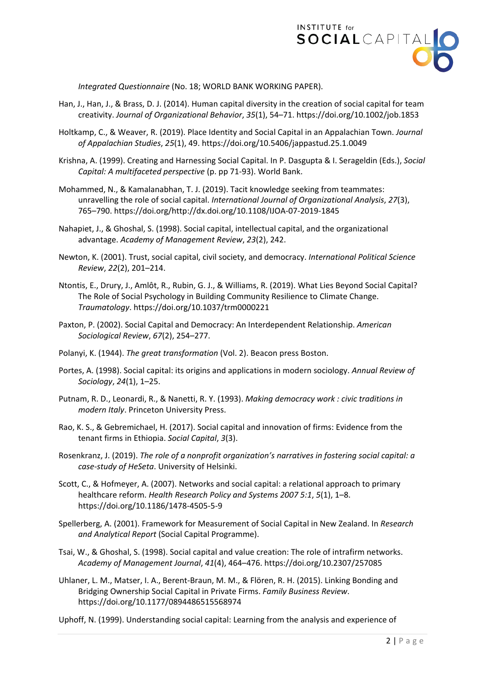

*Integrated Questionnaire* (No. 18; WORLD BANK WORKING PAPER).

- Han, J., Han, J., & Brass, D. J. (2014). Human capital diversity in the creation of social capital for team creativity. *Journal of Organizational Behavior*, *35*(1), 54–71. https://doi.org/10.1002/job.1853
- Holtkamp, C., & Weaver, R. (2019). Place Identity and Social Capital in an Appalachian Town. *Journal of Appalachian Studies*, *25*(1), 49. https://doi.org/10.5406/jappastud.25.1.0049
- Krishna, A. (1999). Creating and Harnessing Social Capital. In P. Dasgupta & I. Serageldin (Eds.), *Social Capital: A multifaceted perspective* (p. pp 71-93). World Bank.
- Mohammed, N., & Kamalanabhan, T. J. (2019). Tacit knowledge seeking from teammates: unravelling the role of social capital. *International Journal of Organizational Analysis*, *27*(3), 765–790. https://doi.org/http://dx.doi.org/10.1108/IJOA-07-2019-1845
- Nahapiet, J., & Ghoshal, S. (1998). Social capital, intellectual capital, and the organizational advantage. *Academy of Management Review*, *23*(2), 242.
- Newton, K. (2001). Trust, social capital, civil society, and democracy. *International Political Science Review*, *22*(2), 201–214.
- Ntontis, E., Drury, J., Amlôt, R., Rubin, G. J., & Williams, R. (2019). What Lies Beyond Social Capital? The Role of Social Psychology in Building Community Resilience to Climate Change. *Traumatology*. https://doi.org/10.1037/trm0000221
- Paxton, P. (2002). Social Capital and Democracy: An Interdependent Relationship. *American Sociological Review*, *67*(2), 254–277.
- Polanyi, K. (1944). *The great transformation* (Vol. 2). Beacon press Boston.
- Portes, A. (1998). Social capital: its origins and applications in modern sociology. *Annual Review of Sociology*, *24*(1), 1–25.
- Putnam, R. D., Leonardi, R., & Nanetti, R. Y. (1993). *Making democracy work : civic traditions in modern Italy*. Princeton University Press.
- Rao, K. S., & Gebremichael, H. (2017). Social capital and innovation of firms: Evidence from the tenant firms in Ethiopia. *Social Capital*, *3*(3).
- Rosenkranz, J. (2019). *The role of a nonprofit organization's narratives in fostering social capital: a case-study of HeSeta*. University of Helsinki.
- Scott, C., & Hofmeyer, A. (2007). Networks and social capital: a relational approach to primary healthcare reform. *Health Research Policy and Systems 2007 5:1*, *5*(1), 1–8. https://doi.org/10.1186/1478-4505-5-9
- Spellerberg, A. (2001). Framework for Measurement of Social Capital in New Zealand. In *Research and Analytical Report* (Social Capital Programme).
- Tsai, W., & Ghoshal, S. (1998). Social capital and value creation: The role of intrafirm networks. *Academy of Management Journal*, *41*(4), 464–476. https://doi.org/10.2307/257085
- Uhlaner, L. M., Matser, I. A., Berent-Braun, M. M., & Flören, R. H. (2015). Linking Bonding and Bridging Ownership Social Capital in Private Firms. *Family Business Review*. https://doi.org/10.1177/0894486515568974

Uphoff, N. (1999). Understanding social capital: Learning from the analysis and experience of